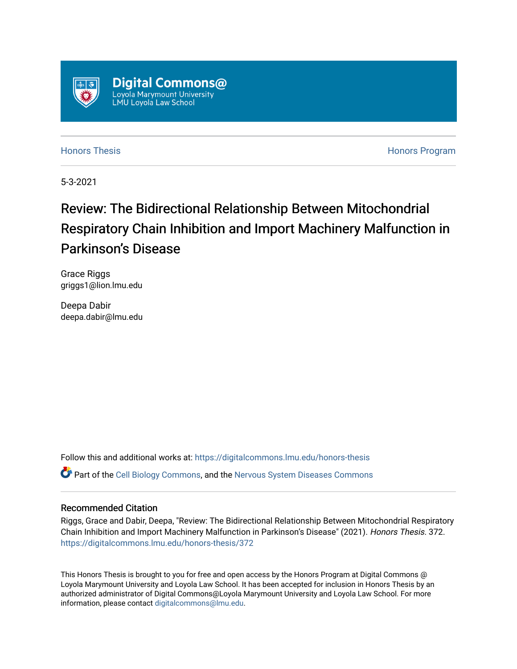

[Honors Thesis](https://digitalcommons.lmu.edu/honors-thesis) [Honors Program](https://digitalcommons.lmu.edu/lmu_honorsprogram) 

5-3-2021

# Review: The Bidirectional Relationship Between Mitochondrial Respiratory Chain Inhibition and Import Machinery Malfunction in Parkinson's Disease

Grace Riggs griggs1@lion.lmu.edu

Deepa Dabir deepa.dabir@lmu.edu

Follow this and additional works at: [https://digitalcommons.lmu.edu/honors-thesis](https://digitalcommons.lmu.edu/honors-thesis?utm_source=digitalcommons.lmu.edu%2Fhonors-thesis%2F372&utm_medium=PDF&utm_campaign=PDFCoverPages)

Part of the [Cell Biology Commons,](http://network.bepress.com/hgg/discipline/10?utm_source=digitalcommons.lmu.edu%2Fhonors-thesis%2F372&utm_medium=PDF&utm_campaign=PDFCoverPages) and the [Nervous System Diseases Commons](http://network.bepress.com/hgg/discipline/928?utm_source=digitalcommons.lmu.edu%2Fhonors-thesis%2F372&utm_medium=PDF&utm_campaign=PDFCoverPages)

# Recommended Citation

Riggs, Grace and Dabir, Deepa, "Review: The Bidirectional Relationship Between Mitochondrial Respiratory Chain Inhibition and Import Machinery Malfunction in Parkinson's Disease" (2021). Honors Thesis. 372. [https://digitalcommons.lmu.edu/honors-thesis/372](https://digitalcommons.lmu.edu/honors-thesis/372?utm_source=digitalcommons.lmu.edu%2Fhonors-thesis%2F372&utm_medium=PDF&utm_campaign=PDFCoverPages) 

This Honors Thesis is brought to you for free and open access by the Honors Program at Digital Commons @ Loyola Marymount University and Loyola Law School. It has been accepted for inclusion in Honors Thesis by an authorized administrator of Digital Commons@Loyola Marymount University and Loyola Law School. For more information, please contact [digitalcommons@lmu.edu.](mailto:digitalcommons@lmu.edu)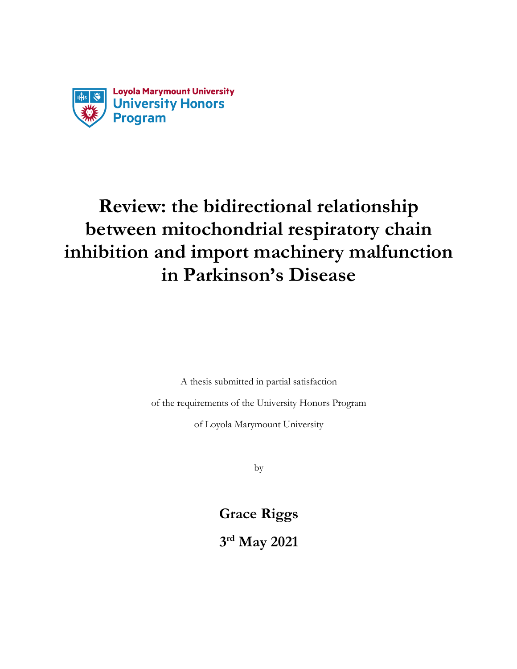

# **Review: the bidirectional relationship between mitochondrial respiratory chain inhibition and import machinery malfunction in Parkinson's Disease**

A thesis submitted in partial satisfaction

of the requirements of the University Honors Program

of Loyola Marymount University

by

**Grace Riggs**

**3rd May 2021**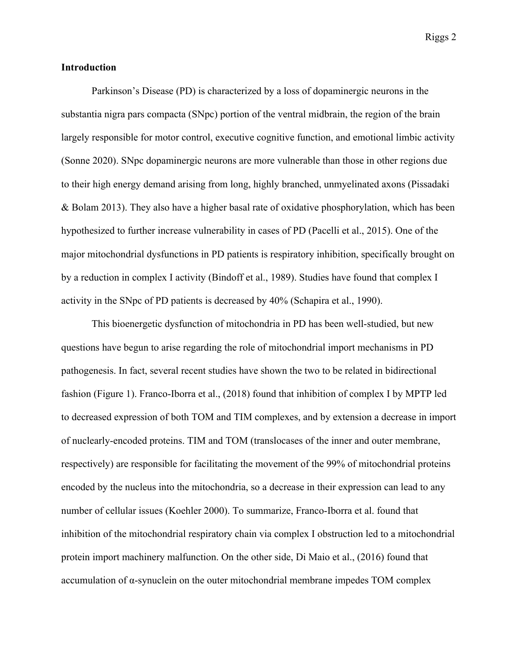# **Introduction**

Parkinson's Disease (PD) is characterized by a loss of dopaminergic neurons in the substantia nigra pars compacta (SNpc) portion of the ventral midbrain, the region of the brain largely responsible for motor control, executive cognitive function, and emotional limbic activity (Sonne 2020). SNpc dopaminergic neurons are more vulnerable than those in other regions due to their high energy demand arising from long, highly branched, unmyelinated axons (Pissadaki & Bolam 2013). They also have a higher basal rate of oxidative phosphorylation, which has been hypothesized to further increase vulnerability in cases of PD (Pacelli et al., 2015). One of the major mitochondrial dysfunctions in PD patients is respiratory inhibition, specifically brought on by a reduction in complex I activity (Bindoff et al., 1989). Studies have found that complex I activity in the SNpc of PD patients is decreased by 40% (Schapira et al., 1990).

This bioenergetic dysfunction of mitochondria in PD has been well-studied, but new questions have begun to arise regarding the role of mitochondrial import mechanisms in PD pathogenesis. In fact, several recent studies have shown the two to be related in bidirectional fashion (Figure 1). Franco-Iborra et al., (2018) found that inhibition of complex I by MPTP led to decreased expression of both TOM and TIM complexes, and by extension a decrease in import of nuclearly-encoded proteins. TIM and TOM (translocases of the inner and outer membrane, respectively) are responsible for facilitating the movement of the 99% of mitochondrial proteins encoded by the nucleus into the mitochondria, so a decrease in their expression can lead to any number of cellular issues (Koehler 2000). To summarize, Franco-Iborra et al. found that inhibition of the mitochondrial respiratory chain via complex I obstruction led to a mitochondrial protein import machinery malfunction. On the other side, Di Maio et al., (2016) found that accumulation of α-synuclein on the outer mitochondrial membrane impedes TOM complex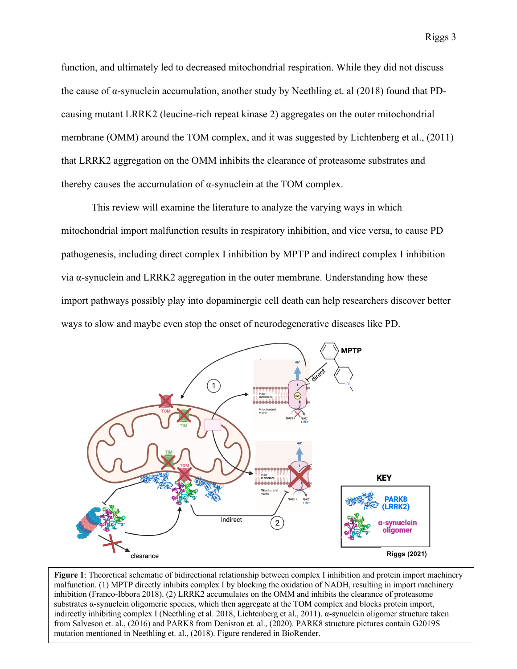function, and ultimately led to decreased mitochondrial respiration. While they did not discuss the cause of  $\alpha$ -synuclein accumulation, another study by Neethling et. al (2018) found that PDcausing mutant LRRK2 (leucine-rich repeat kinase 2) aggregates on the outer mitochondrial membrane (OMM) around the TOM complex, and it was suggested by Lichtenberg et al., (2011) that LRRK2 aggregation on the OMM inhibits the clearance of proteasome substrates and thereby causes the accumulation of  $\alpha$ -synuclein at the TOM complex.

This review will examine the literature to analyze the varying ways in which mitochondrial import malfunction results in respiratory inhibition, and vice versa, to cause PD pathogenesis, including direct complex I inhibition by MPTP and indirect complex I inhibition via α-synuclein and LRRK2 aggregation in the outer membrane. Understanding how these import pathways possibly play into dopaminergic cell death can help researchers discover better ways to slow and maybe even stop the onset of neurodegenerative diseases like PD.



**Figure 1**: Theoretical schematic of bidirectional relationship between complex I inhibition and protein import machinery malfunction. (1) MPTP directly inhibits complex I by blocking the oxidation of NADH, resulting in import machinery inhibition (Franco-Ibbora 2018). (2) LRRK2 accumulates on the OMM and inhibits the clearance of proteasome substrates α-synuclein oligomeric species, which then aggregate at the TOM complex and blocks protein import, indirectly inhibiting complex I (Neethling et al. 2018, Lichtenberg et al., 2011). α-synuclein oligomer structure taken from Salveson et. al., (2016) and PARK8 from Deniston et. al., (2020). PARK8 structure pictures contain G2019S mutation mentioned in Neethling et. al., (2018). Figure rendered in BioRender.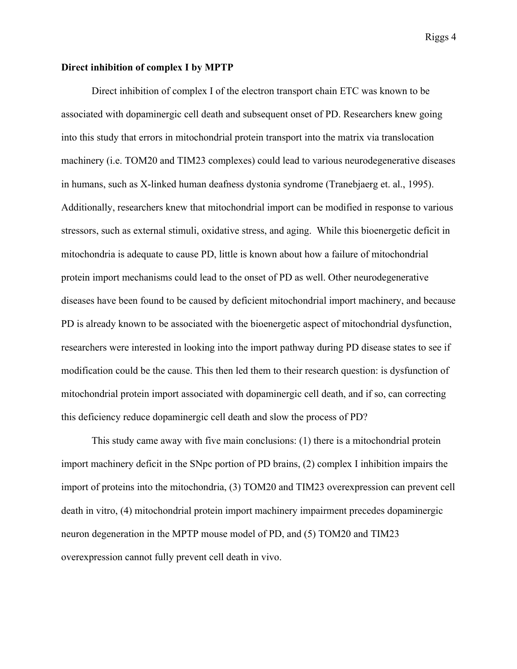#### **Direct inhibition of complex I by MPTP**

Direct inhibition of complex I of the electron transport chain ETC was known to be associated with dopaminergic cell death and subsequent onset of PD. Researchers knew going into this study that errors in mitochondrial protein transport into the matrix via translocation machinery (i.e. TOM20 and TIM23 complexes) could lead to various neurodegenerative diseases in humans, such as X-linked human deafness dystonia syndrome (Tranebjaerg et. al., 1995). Additionally, researchers knew that mitochondrial import can be modified in response to various stressors, such as external stimuli, oxidative stress, and aging. While this bioenergetic deficit in mitochondria is adequate to cause PD, little is known about how a failure of mitochondrial protein import mechanisms could lead to the onset of PD as well. Other neurodegenerative diseases have been found to be caused by deficient mitochondrial import machinery, and because PD is already known to be associated with the bioenergetic aspect of mitochondrial dysfunction, researchers were interested in looking into the import pathway during PD disease states to see if modification could be the cause. This then led them to their research question: is dysfunction of mitochondrial protein import associated with dopaminergic cell death, and if so, can correcting this deficiency reduce dopaminergic cell death and slow the process of PD?

This study came away with five main conclusions: (1) there is a mitochondrial protein import machinery deficit in the SNpc portion of PD brains, (2) complex I inhibition impairs the import of proteins into the mitochondria, (3) TOM20 and TIM23 overexpression can prevent cell death in vitro, (4) mitochondrial protein import machinery impairment precedes dopaminergic neuron degeneration in the MPTP mouse model of PD, and (5) TOM20 and TIM23 overexpression cannot fully prevent cell death in vivo.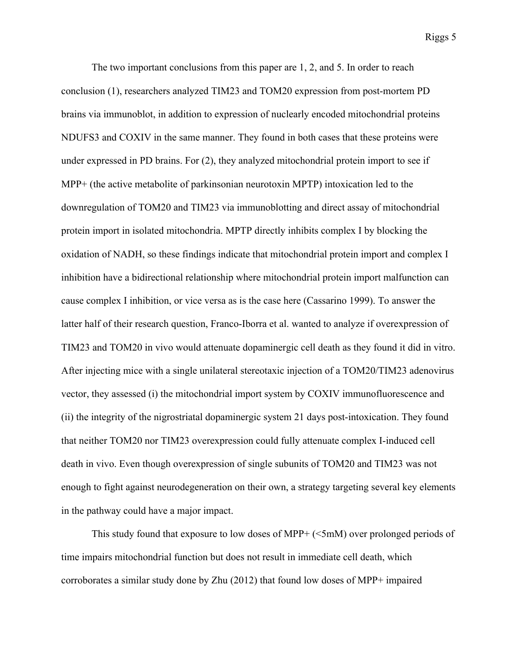The two important conclusions from this paper are 1, 2, and 5. In order to reach conclusion (1), researchers analyzed TIM23 and TOM20 expression from post-mortem PD brains via immunoblot, in addition to expression of nuclearly encoded mitochondrial proteins NDUFS3 and COXIV in the same manner. They found in both cases that these proteins were under expressed in PD brains. For (2), they analyzed mitochondrial protein import to see if MPP+ (the active metabolite of parkinsonian neurotoxin MPTP) intoxication led to the downregulation of TOM20 and TIM23 via immunoblotting and direct assay of mitochondrial protein import in isolated mitochondria. MPTP directly inhibits complex I by blocking the oxidation of NADH, so these findings indicate that mitochondrial protein import and complex I inhibition have a bidirectional relationship where mitochondrial protein import malfunction can cause complex I inhibition, or vice versa as is the case here (Cassarino 1999). To answer the latter half of their research question, Franco-Iborra et al. wanted to analyze if overexpression of TIM23 and TOM20 in vivo would attenuate dopaminergic cell death as they found it did in vitro. After injecting mice with a single unilateral stereotaxic injection of a TOM20/TIM23 adenovirus vector, they assessed (i) the mitochondrial import system by COXIV immunofluorescence and (ii) the integrity of the nigrostriatal dopaminergic system 21 days post-intoxication. They found that neither TOM20 nor TIM23 overexpression could fully attenuate complex I-induced cell death in vivo. Even though overexpression of single subunits of TOM20 and TIM23 was not enough to fight against neurodegeneration on their own, a strategy targeting several key elements in the pathway could have a major impact.

This study found that exposure to low doses of MPP+ (<5mM) over prolonged periods of time impairs mitochondrial function but does not result in immediate cell death, which corroborates a similar study done by Zhu (2012) that found low doses of MPP+ impaired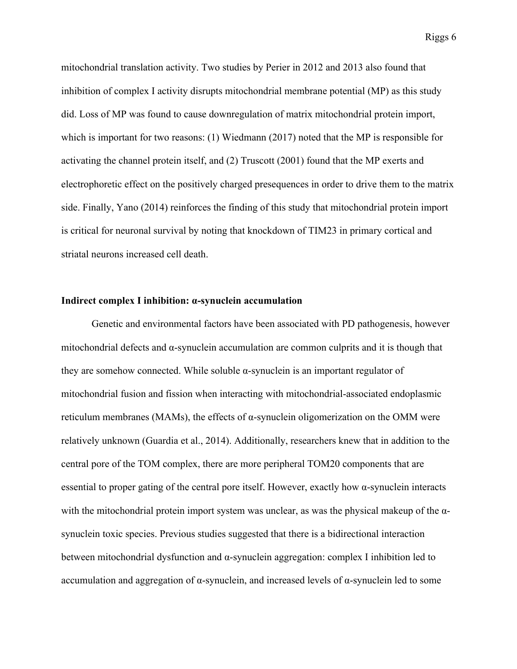mitochondrial translation activity. Two studies by Perier in 2012 and 2013 also found that inhibition of complex I activity disrupts mitochondrial membrane potential (MP) as this study did. Loss of MP was found to cause downregulation of matrix mitochondrial protein import, which is important for two reasons: (1) Wiedmann (2017) noted that the MP is responsible for activating the channel protein itself, and (2) Truscott (2001) found that the MP exerts and electrophoretic effect on the positively charged presequences in order to drive them to the matrix side. Finally, Yano (2014) reinforces the finding of this study that mitochondrial protein import is critical for neuronal survival by noting that knockdown of TIM23 in primary cortical and striatal neurons increased cell death.

#### **Indirect complex I inhibition: α-synuclein accumulation**

Genetic and environmental factors have been associated with PD pathogenesis, however mitochondrial defects and  $\alpha$ -synuclein accumulation are common culprits and it is though that they are somehow connected. While soluble  $\alpha$ -synuclein is an important regulator of mitochondrial fusion and fission when interacting with mitochondrial-associated endoplasmic reticulum membranes (MAMs), the effects of α-synuclein oligomerization on the OMM were relatively unknown (Guardia et al., 2014). Additionally, researchers knew that in addition to the central pore of the TOM complex, there are more peripheral TOM20 components that are essential to proper gating of the central pore itself. However, exactly how α-synuclein interacts with the mitochondrial protein import system was unclear, as was the physical makeup of the  $\alpha$ synuclein toxic species. Previous studies suggested that there is a bidirectional interaction between mitochondrial dysfunction and α-synuclein aggregation: complex I inhibition led to accumulation and aggregation of α-synuclein, and increased levels of α-synuclein led to some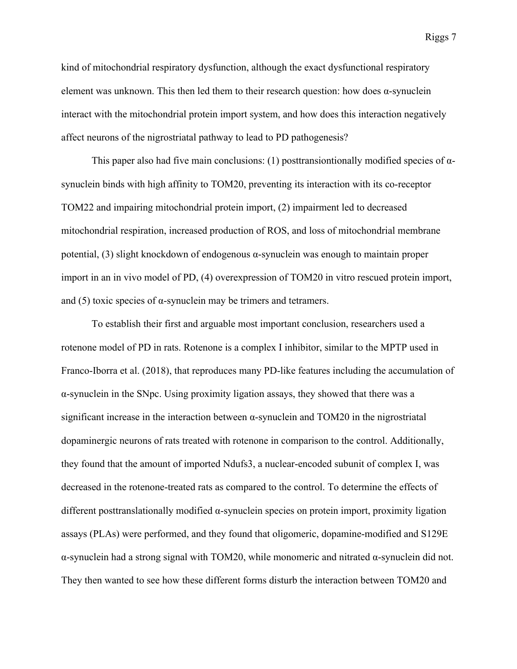kind of mitochondrial respiratory dysfunction, although the exact dysfunctional respiratory element was unknown. This then led them to their research question: how does  $\alpha$ -synuclein interact with the mitochondrial protein import system, and how does this interaction negatively affect neurons of the nigrostriatal pathway to lead to PD pathogenesis?

This paper also had five main conclusions: (1) posttransiontionally modified species of  $\alpha$ synuclein binds with high affinity to TOM20, preventing its interaction with its co-receptor TOM22 and impairing mitochondrial protein import, (2) impairment led to decreased mitochondrial respiration, increased production of ROS, and loss of mitochondrial membrane potential, (3) slight knockdown of endogenous α-synuclein was enough to maintain proper import in an in vivo model of PD, (4) overexpression of TOM20 in vitro rescued protein import, and (5) toxic species of  $\alpha$ -synuclein may be trimers and tetramers.

To establish their first and arguable most important conclusion, researchers used a rotenone model of PD in rats. Rotenone is a complex I inhibitor, similar to the MPTP used in Franco-Iborra et al. (2018), that reproduces many PD-like features including the accumulation of α-synuclein in the SNpc. Using proximity ligation assays, they showed that there was a significant increase in the interaction between α-synuclein and TOM20 in the nigrostriatal dopaminergic neurons of rats treated with rotenone in comparison to the control. Additionally, they found that the amount of imported Ndufs3, a nuclear-encoded subunit of complex I, was decreased in the rotenone-treated rats as compared to the control. To determine the effects of different posttranslationally modified α-synuclein species on protein import, proximity ligation assays (PLAs) were performed, and they found that oligomeric, dopamine-modified and S129E α-synuclein had a strong signal with TOM20, while monomeric and nitrated α-synuclein did not. They then wanted to see how these different forms disturb the interaction between TOM20 and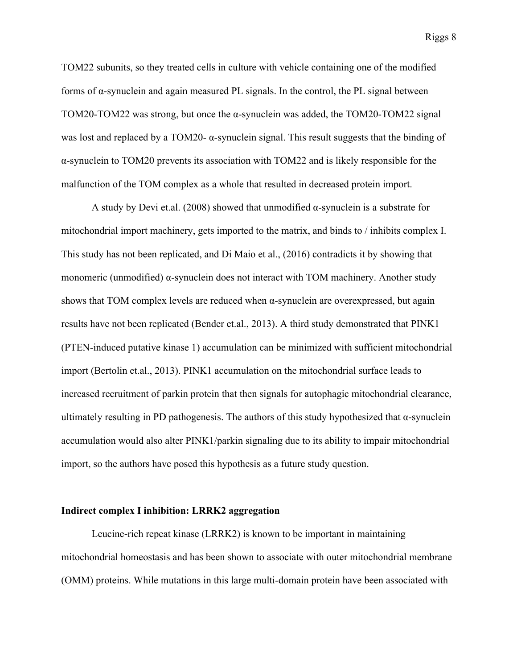TOM22 subunits, so they treated cells in culture with vehicle containing one of the modified forms of α-synuclein and again measured PL signals. In the control, the PL signal between TOM20-TOM22 was strong, but once the α-synuclein was added, the TOM20-TOM22 signal was lost and replaced by a TOM20- α-synuclein signal. This result suggests that the binding of α-synuclein to TOM20 prevents its association with TOM22 and is likely responsible for the malfunction of the TOM complex as a whole that resulted in decreased protein import.

A study by Devi et.al. (2008) showed that unmodified  $\alpha$ -synuclein is a substrate for mitochondrial import machinery, gets imported to the matrix, and binds to / inhibits complex I. This study has not been replicated, and Di Maio et al., (2016) contradicts it by showing that monomeric (unmodified) α-synuclein does not interact with TOM machinery. Another study shows that TOM complex levels are reduced when  $\alpha$ -synuclein are overexpressed, but again results have not been replicated (Bender et.al., 2013). A third study demonstrated that PINK1 (PTEN-induced putative kinase 1) accumulation can be minimized with sufficient mitochondrial import (Bertolin et.al., 2013). PINK1 accumulation on the mitochondrial surface leads to increased recruitment of parkin protein that then signals for autophagic mitochondrial clearance, ultimately resulting in PD pathogenesis. The authors of this study hypothesized that  $\alpha$ -synuclein accumulation would also alter PINK1/parkin signaling due to its ability to impair mitochondrial import, so the authors have posed this hypothesis as a future study question.

#### **Indirect complex I inhibition: LRRK2 aggregation**

Leucine-rich repeat kinase (LRRK2) is known to be important in maintaining mitochondrial homeostasis and has been shown to associate with outer mitochondrial membrane (OMM) proteins. While mutations in this large multi-domain protein have been associated with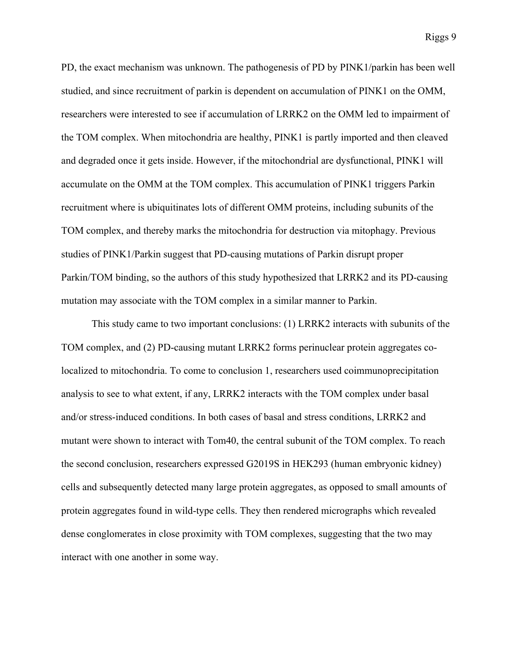PD, the exact mechanism was unknown. The pathogenesis of PD by PINK1/parkin has been well studied, and since recruitment of parkin is dependent on accumulation of PINK1 on the OMM, researchers were interested to see if accumulation of LRRK2 on the OMM led to impairment of the TOM complex. When mitochondria are healthy, PINK1 is partly imported and then cleaved and degraded once it gets inside. However, if the mitochondrial are dysfunctional, PINK1 will accumulate on the OMM at the TOM complex. This accumulation of PINK1 triggers Parkin recruitment where is ubiquitinates lots of different OMM proteins, including subunits of the TOM complex, and thereby marks the mitochondria for destruction via mitophagy. Previous studies of PINK1/Parkin suggest that PD-causing mutations of Parkin disrupt proper Parkin/TOM binding, so the authors of this study hypothesized that LRRK2 and its PD-causing mutation may associate with the TOM complex in a similar manner to Parkin.

This study came to two important conclusions: (1) LRRK2 interacts with subunits of the TOM complex, and (2) PD-causing mutant LRRK2 forms perinuclear protein aggregates colocalized to mitochondria. To come to conclusion 1, researchers used coimmunoprecipitation analysis to see to what extent, if any, LRRK2 interacts with the TOM complex under basal and/or stress-induced conditions. In both cases of basal and stress conditions, LRRK2 and mutant were shown to interact with Tom40, the central subunit of the TOM complex. To reach the second conclusion, researchers expressed G2019S in HEK293 (human embryonic kidney) cells and subsequently detected many large protein aggregates, as opposed to small amounts of protein aggregates found in wild-type cells. They then rendered micrographs which revealed dense conglomerates in close proximity with TOM complexes, suggesting that the two may interact with one another in some way.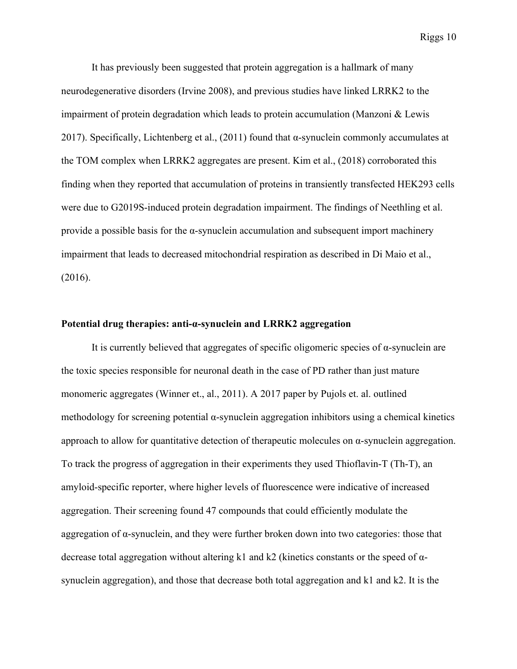It has previously been suggested that protein aggregation is a hallmark of many neurodegenerative disorders (Irvine 2008), and previous studies have linked LRRK2 to the impairment of protein degradation which leads to protein accumulation (Manzoni & Lewis 2017). Specifically, Lichtenberg et al.,  $(2011)$  found that  $\alpha$ -synuclein commonly accumulates at the TOM complex when LRRK2 aggregates are present. Kim et al., (2018) corroborated this finding when they reported that accumulation of proteins in transiently transfected HEK293 cells were due to G2019S-induced protein degradation impairment. The findings of Neethling et al. provide a possible basis for the  $\alpha$ -synuclein accumulation and subsequent import machinery impairment that leads to decreased mitochondrial respiration as described in Di Maio et al., (2016).

# **Potential drug therapies: anti-α-synuclein and LRRK2 aggregation**

It is currently believed that aggregates of specific oligomeric species of  $\alpha$ -synuclein are the toxic species responsible for neuronal death in the case of PD rather than just mature monomeric aggregates (Winner et., al., 2011). A 2017 paper by Pujols et. al. outlined methodology for screening potential  $\alpha$ -synuclein aggregation inhibitors using a chemical kinetics approach to allow for quantitative detection of the rapeutic molecules on  $\alpha$ -synuclein aggregation. To track the progress of aggregation in their experiments they used Thioflavin-T (Th-T), an amyloid-specific reporter, where higher levels of fluorescence were indicative of increased aggregation. Their screening found 47 compounds that could efficiently modulate the aggregation of α-synuclein, and they were further broken down into two categories: those that decrease total aggregation without altering k1 and k2 (kinetics constants or the speed of αsynuclein aggregation), and those that decrease both total aggregation and k1 and k2. It is the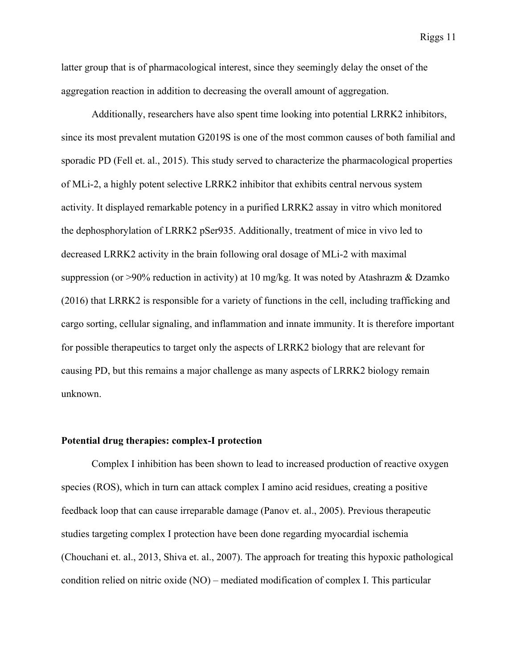latter group that is of pharmacological interest, since they seemingly delay the onset of the aggregation reaction in addition to decreasing the overall amount of aggregation.

Additionally, researchers have also spent time looking into potential LRRK2 inhibitors, since its most prevalent mutation G2019S is one of the most common causes of both familial and sporadic PD (Fell et. al., 2015). This study served to characterize the pharmacological properties of MLi-2, a highly potent selective LRRK2 inhibitor that exhibits central nervous system activity. It displayed remarkable potency in a purified LRRK2 assay in vitro which monitored the dephosphorylation of LRRK2 pSer935. Additionally, treatment of mice in vivo led to decreased LRRK2 activity in the brain following oral dosage of MLi-2 with maximal suppression (or >90% reduction in activity) at 10 mg/kg. It was noted by Atashrazm & Dzamko (2016) that LRRK2 is responsible for a variety of functions in the cell, including trafficking and cargo sorting, cellular signaling, and inflammation and innate immunity. It is therefore important for possible therapeutics to target only the aspects of LRRK2 biology that are relevant for causing PD, but this remains a major challenge as many aspects of LRRK2 biology remain unknown.

### **Potential drug therapies: complex-I protection**

Complex I inhibition has been shown to lead to increased production of reactive oxygen species (ROS), which in turn can attack complex I amino acid residues, creating a positive feedback loop that can cause irreparable damage (Panov et. al., 2005). Previous therapeutic studies targeting complex I protection have been done regarding myocardial ischemia (Chouchani et. al., 2013, Shiva et. al., 2007). The approach for treating this hypoxic pathological condition relied on nitric oxide (NO) – mediated modification of complex I. This particular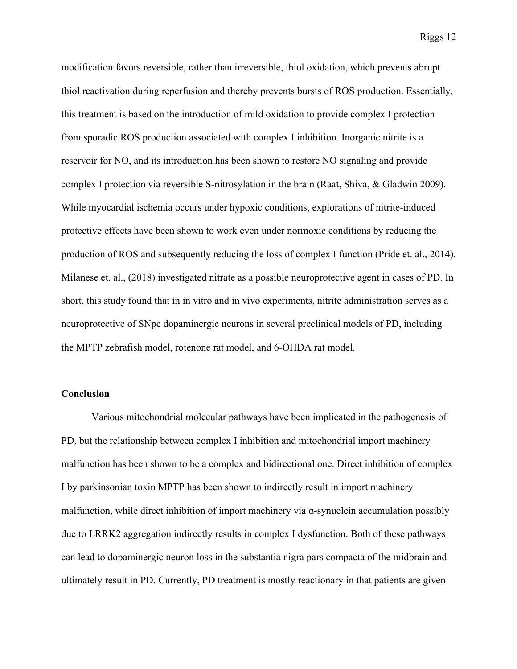modification favors reversible, rather than irreversible, thiol oxidation, which prevents abrupt thiol reactivation during reperfusion and thereby prevents bursts of ROS production. Essentially, this treatment is based on the introduction of mild oxidation to provide complex I protection from sporadic ROS production associated with complex I inhibition. Inorganic nitrite is a reservoir for NO, and its introduction has been shown to restore NO signaling and provide complex I protection via reversible S-nitrosylation in the brain (Raat, Shiva, & Gladwin 2009). While myocardial ischemia occurs under hypoxic conditions, explorations of nitrite-induced protective effects have been shown to work even under normoxic conditions by reducing the production of ROS and subsequently reducing the loss of complex I function (Pride et. al., 2014). Milanese et. al., (2018) investigated nitrate as a possible neuroprotective agent in cases of PD. In short, this study found that in in vitro and in vivo experiments, nitrite administration serves as a neuroprotective of SNpc dopaminergic neurons in several preclinical models of PD, including the MPTP zebrafish model, rotenone rat model, and 6-OHDA rat model.

# **Conclusion**

Various mitochondrial molecular pathways have been implicated in the pathogenesis of PD, but the relationship between complex I inhibition and mitochondrial import machinery malfunction has been shown to be a complex and bidirectional one. Direct inhibition of complex I by parkinsonian toxin MPTP has been shown to indirectly result in import machinery malfunction, while direct inhibition of import machinery via α-synuclein accumulation possibly due to LRRK2 aggregation indirectly results in complex I dysfunction. Both of these pathways can lead to dopaminergic neuron loss in the substantia nigra pars compacta of the midbrain and ultimately result in PD. Currently, PD treatment is mostly reactionary in that patients are given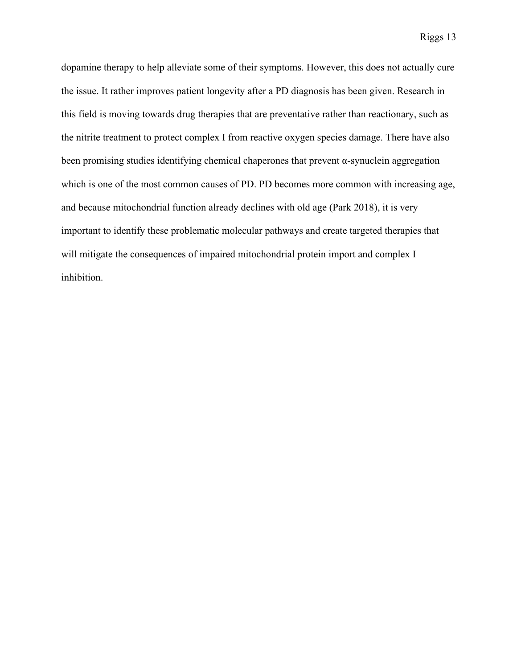dopamine therapy to help alleviate some of their symptoms. However, this does not actually cure the issue. It rather improves patient longevity after a PD diagnosis has been given. Research in this field is moving towards drug therapies that are preventative rather than reactionary, such as the nitrite treatment to protect complex I from reactive oxygen species damage. There have also been promising studies identifying chemical chaperones that prevent  $\alpha$ -synuclein aggregation which is one of the most common causes of PD. PD becomes more common with increasing age, and because mitochondrial function already declines with old age (Park 2018), it is very important to identify these problematic molecular pathways and create targeted therapies that will mitigate the consequences of impaired mitochondrial protein import and complex I inhibition.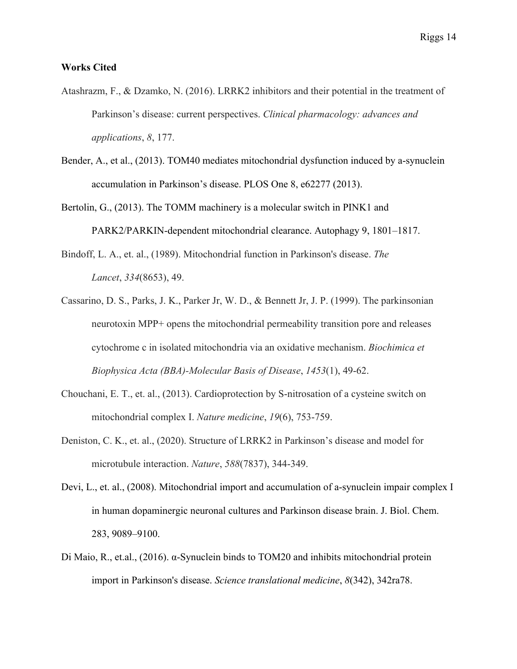# **Works Cited**

- Atashrazm, F., & Dzamko, N. (2016). LRRK2 inhibitors and their potential in the treatment of Parkinson's disease: current perspectives. *Clinical pharmacology: advances and applications*, *8*, 177.
- Bender, A., et al., (2013). TOM40 mediates mitochondrial dysfunction induced by a-synuclein accumulation in Parkinson's disease. PLOS One 8, e62277 (2013).
- Bertolin, G., (2013). The TOMM machinery is a molecular switch in PINK1 and PARK2/PARKIN-dependent mitochondrial clearance. Autophagy 9, 1801–1817.
- Bindoff, L. A., et. al., (1989). Mitochondrial function in Parkinson's disease. *The Lancet*, *334*(8653), 49.
- Cassarino, D. S., Parks, J. K., Parker Jr, W. D., & Bennett Jr, J. P. (1999). The parkinsonian neurotoxin MPP+ opens the mitochondrial permeability transition pore and releases cytochrome c in isolated mitochondria via an oxidative mechanism. *Biochimica et Biophysica Acta (BBA)-Molecular Basis of Disease*, *1453*(1), 49-62.
- Chouchani, E. T., et. al., (2013). Cardioprotection by S-nitrosation of a cysteine switch on mitochondrial complex I. *Nature medicine*, *19*(6), 753-759.
- Deniston, C. K., et. al., (2020). Structure of LRRK2 in Parkinson's disease and model for microtubule interaction. *Nature*, *588*(7837), 344-349.
- Devi, L., et. al., (2008). Mitochondrial import and accumulation of a-synuclein impair complex I in human dopaminergic neuronal cultures and Parkinson disease brain. J. Biol. Chem. 283, 9089–9100.
- Di Maio, R., et.al., (2016). α-Synuclein binds to TOM20 and inhibits mitochondrial protein import in Parkinson's disease. *Science translational medicine*, *8*(342), 342ra78.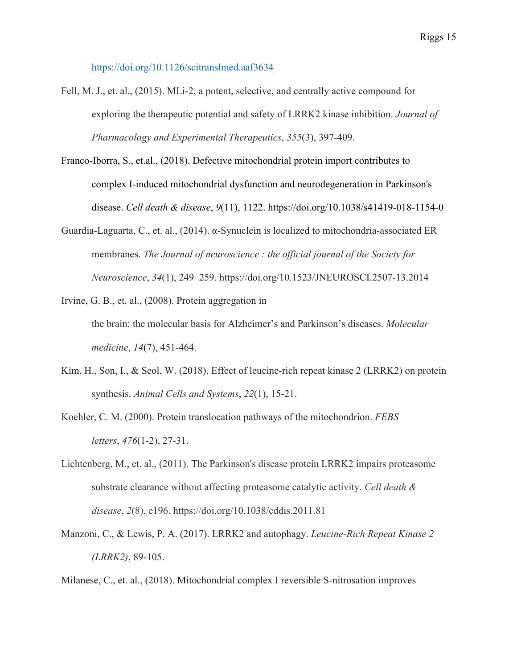https://doi.org/10.1126/scitranslmed.aaf3634

- Fell, M. J., et. al., (2015). MLi-2, a potent, selective, and centrally active compound for exploring the therapeutic potential and safety of LRRK2 kinase inhibition. *Journal of Pharmacology and Experimental Therapeutics*, *355*(3), 397-409.
- Franco-Iborra, S., et.al., (2018). Defective mitochondrial protein import contributes to complex I-induced mitochondrial dysfunction and neurodegeneration in Parkinson's disease. *Cell death & disease*, *9*(11), 1122. https://doi.org/10.1038/s41419-018-1154-0
- Guardia-Laguarta, C., et. al., (2014). α-Synuclein is localized to mitochondria-associated ER membranes. *The Journal of neuroscience : the official journal of the Society for Neuroscience*, *34*(1), 249–259. https://doi.org/10.1523/JNEUROSCI.2507-13.2014
- Irvine, G. B., et. al., (2008). Protein aggregation in the brain: the molecular basis for Alzheimer's and Parkinson's diseases. *Molecular medicine*, *14*(7), 451-464.
- Kim, H., Son, I., & Seol, W. (2018). Effect of leucine-rich repeat kinase 2 (LRRK2) on protein synthesis. *Animal Cells and Systems*, *22*(1), 15-21.
- Koehler, C. M. (2000). Protein translocation pathways of the mitochondrion. *FEBS letters*, *476*(1-2), 27-31.
- Lichtenberg, M., et. al., (2011). The Parkinson's disease protein LRRK2 impairs proteasome substrate clearance without affecting proteasome catalytic activity. *Cell death & disease*, *2*(8), e196. https://doi.org/10.1038/cddis.2011.81
- Manzoni, C., & Lewis, P. A. (2017). LRRK2 and autophagy. *Leucine-Rich Repeat Kinase 2 (LRRK2)*, 89-105.

Milanese, C., et. al., (2018). Mitochondrial complex I reversible S-nitrosation improves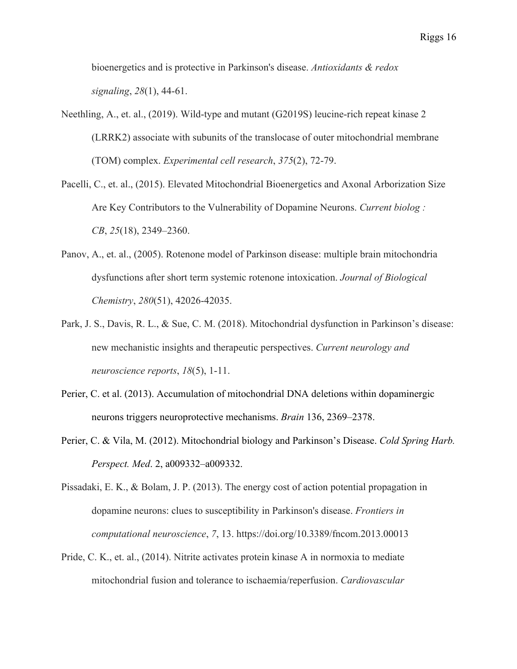bioenergetics and is protective in Parkinson's disease. *Antioxidants & redox signaling*, *28*(1), 44-61.

- Neethling, A., et. al., (2019). Wild-type and mutant (G2019S) leucine-rich repeat kinase 2 (LRRK2) associate with subunits of the translocase of outer mitochondrial membrane (TOM) complex. *Experimental cell research*, *375*(2), 72-79.
- Pacelli, C., et. al., (2015). Elevated Mitochondrial Bioenergetics and Axonal Arborization Size Are Key Contributors to the Vulnerability of Dopamine Neurons. *Current biolog : CB*, *25*(18), 2349–2360.
- Panov, A., et. al., (2005). Rotenone model of Parkinson disease: multiple brain mitochondria dysfunctions after short term systemic rotenone intoxication. *Journal of Biological Chemistry*, *280*(51), 42026-42035.
- Park, J. S., Davis, R. L., & Sue, C. M. (2018). Mitochondrial dysfunction in Parkinson's disease: new mechanistic insights and therapeutic perspectives. *Current neurology and neuroscience reports*, *18*(5), 1-11.
- Perier, C. et al. (2013). Accumulation of mitochondrial DNA deletions within dopaminergic neurons triggers neuroprotective mechanisms. *Brain* 136, 2369–2378.
- Perier, C. & Vila, M. (2012). Mitochondrial biology and Parkinson's Disease. *Cold Spring Harb. Perspect. Med*. 2, a009332–a009332.

Pissadaki, E. K., & Bolam, J. P. (2013). The energy cost of action potential propagation in dopamine neurons: clues to susceptibility in Parkinson's disease. *Frontiers in computational neuroscience*, *7*, 13. https://doi.org/10.3389/fncom.2013.00013

Pride, C. K., et. al., (2014). Nitrite activates protein kinase A in normoxia to mediate mitochondrial fusion and tolerance to ischaemia/reperfusion. *Cardiovascular*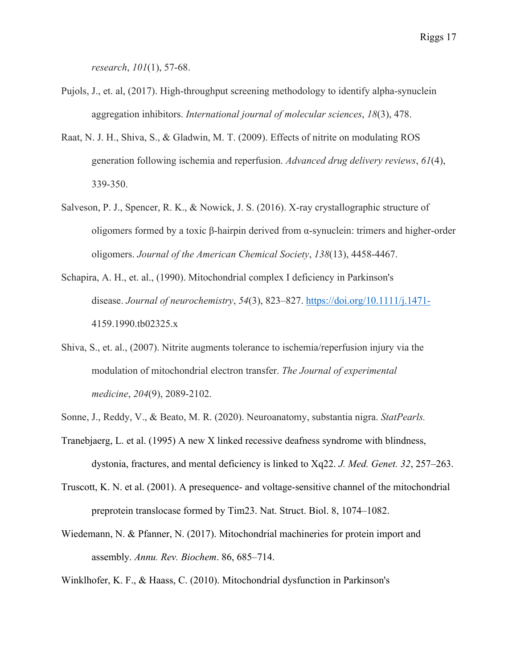*research*, *101*(1), 57-68.

- Pujols, J., et. al, (2017). High-throughput screening methodology to identify alpha-synuclein aggregation inhibitors. *International journal of molecular sciences*, *18*(3), 478.
- Raat, N. J. H., Shiva, S., & Gladwin, M. T. (2009). Effects of nitrite on modulating ROS generation following ischemia and reperfusion. *Advanced drug delivery reviews*, *61*(4), 339-350.
- Salveson, P. J., Spencer, R. K., & Nowick, J. S. (2016). X-ray crystallographic structure of oligomers formed by a toxic β-hairpin derived from α-synuclein: trimers and higher-order oligomers. *Journal of the American Chemical Society*, *138*(13), 4458-4467.
- Schapira, A. H., et. al., (1990). Mitochondrial complex I deficiency in Parkinson's disease. *Journal of neurochemistry*, *54*(3), 823–827. https://doi.org/10.1111/j.1471- 4159.1990.tb02325.x
- Shiva, S., et. al., (2007). Nitrite augments tolerance to ischemia/reperfusion injury via the modulation of mitochondrial electron transfer. *The Journal of experimental medicine*, *204*(9), 2089-2102.
- Sonne, J., Reddy, V., & Beato, M. R. (2020). Neuroanatomy, substantia nigra. *StatPearls.*
- Tranebjaerg, L. et al. (1995) A new X linked recessive deafness syndrome with blindness, dystonia, fractures, and mental deficiency is linked to Xq22. *J. Med. Genet. 32*, 257–263.
- Truscott, K. N. et al. (2001). A presequence- and voltage-sensitive channel of the mitochondrial preprotein translocase formed by Tim23. Nat. Struct. Biol. 8, 1074–1082.
- Wiedemann, N. & Pfanner, N. (2017). Mitochondrial machineries for protein import and assembly. *Annu. Rev. Biochem*. 86, 685–714.
- Winklhofer, K. F., & Haass, C. (2010). Mitochondrial dysfunction in Parkinson's